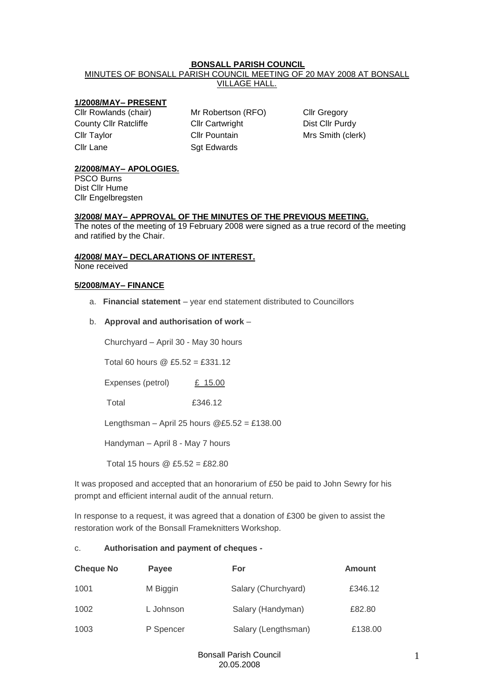# **BONSALL PARISH COUNCIL**

MINUTES OF BONSALL PARISH COUNCIL MEETING OF 20 MAY 2008 AT BONSALL VILLAGE HALL.

## **1/2008/MAY– PRESENT**

County Cllr Ratcliffe Cllr Cartwright Clumbus Dist Cllr Purdy Cllr Pountain Mrs Smith (clerk) Cllr Lane Sqt Edwards

Cllr Rowlands (chair) Mr Robertson (RFO) Cllr Gregory

# **2/2008/MAY– APOLOGIES.**

PSCO Burns Dist Cllr Hume Cllr Engelbregsten

## **3/2008/ MAY– APPROVAL OF THE MINUTES OF THE PREVIOUS MEETING.**

The notes of the meeting of 19 February 2008 were signed as a true record of the meeting and ratified by the Chair.

# **4/2008/ MAY– DECLARATIONS OF INTEREST.**

None received

### **5/2008/MAY– FINANCE**

a. **Financial statement** – year end statement distributed to Councillors

## b. **Approval and authorisation of work** –

Churchyard – April 30 - May 30 hours

Total 60 hours @ £5.52 = £331.12

Expenses (petrol) £ 15.00

Total £346.12

Lengthsman – April 25 hours  $@E5.52 = £138.00$ 

Handyman – April 8 - May 7 hours

Total 15 hours @ £5.52 = £82.80

It was proposed and accepted that an honorarium of £50 be paid to John Sewry for his prompt and efficient internal audit of the annual return.

In response to a request, it was agreed that a donation of £300 be given to assist the restoration work of the Bonsall Frameknitters Workshop.

## c. **Authorisation and payment of cheques -**

| <b>Cheque No</b> | <b>Payee</b> | For                 | Amount  |
|------------------|--------------|---------------------|---------|
| 1001             | M Biggin     | Salary (Churchyard) | £346.12 |
| 1002             | L Johnson    | Salary (Handyman)   | £82.80  |
| 1003             | P Spencer    | Salary (Lengthsman) | £138.00 |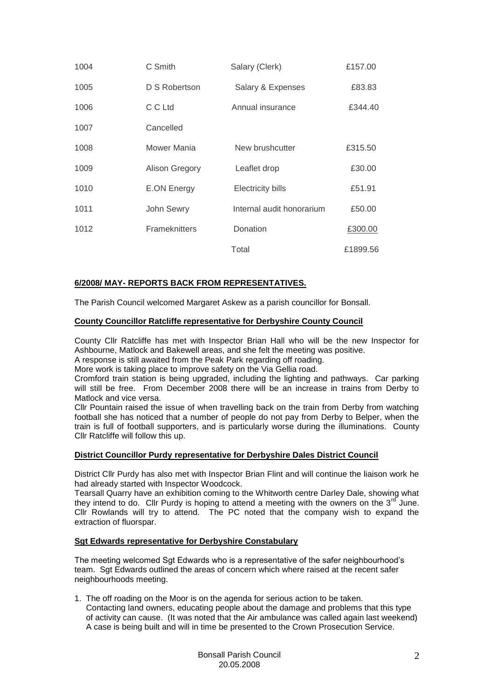| 1004 | C Smith               | Salary (Clerk)            | £157.00  |
|------|-----------------------|---------------------------|----------|
| 1005 | D S Robertson         | Salary & Expenses         | £83.83   |
| 1006 | C C Ltd               | Annual insurance          | £344.40  |
| 1007 | Cancelled             |                           |          |
| 1008 | Mower Mania           | New brushcutter           | £315.50  |
| 1009 | <b>Alison Gregory</b> | Leaflet drop              | £30.00   |
| 1010 | E.ON Energy           | <b>Electricity bills</b>  | £51.91   |
| 1011 | John Sewry            | Internal audit honorarium | £50.00   |
| 1012 | Frameknitters         | Donation                  | £300.00  |
|      |                       | Total                     | £1899.56 |

### **6/2008/ MAY- REPORTS BACK FROM REPRESENTATIVES.**

The Parish Council welcomed Margaret Askew as a parish councillor for Bonsall.

#### **County Councillor Ratcliffe representative for Derbyshire County Council**

County Cllr Ratcliffe has met with Inspector Brian Hall who will be the new Inspector for Ashbourne, Matlock and Bakewell areas, and she felt the meeting was positive.

A response is still awaited from the Peak Park regarding off roading.

More work is taking place to improve safety on the Via Gellia road.

Cromford train station is being upgraded, including the lighting and pathways. Car parking will still be free. From December 2008 there will be an increase in trains from Derby to Matlock and vice versa.

Cllr Pountain raised the issue of when travelling back on the train from Derby from watching football she has noticed that a number of people do not pay from Derby to Belper, when the train is full of football supporters, and is particularly worse during the illuminations. County Cllr Ratcliffe will follow this up.

#### **District Councillor Purdy representative for Derbyshire Dales District Council**

District Cllr Purdy has also met with Inspector Brian Flint and will continue the liaison work he had already started with Inspector Woodcock.

Tearsall Quarry have an exhibition coming to the Whitworth centre Darley Dale, showing what they intend to do. Cllr Purdy is hoping to attend a meeting with the owners on the  $3^{rd}$  June. Cllr Rowlands will try to attend. The PC noted that the company wish to expand the extraction of fluorspar.

# **Sgt Edwards representative for Derbyshire Constabulary**

The meeting welcomed Sgt Edwards who is a representative of the safer neighbourhood's team. Sgt Edwards outlined the areas of concern which where raised at the recent safer neighbourhoods meeting.

1. The off roading on the Moor is on the agenda for serious action to be taken. Contacting land owners, educating people about the damage and problems that this type of activity can cause. (It was noted that the Air ambulance was called again last weekend) A case is being built and will in time be presented to the Crown Prosecution Service.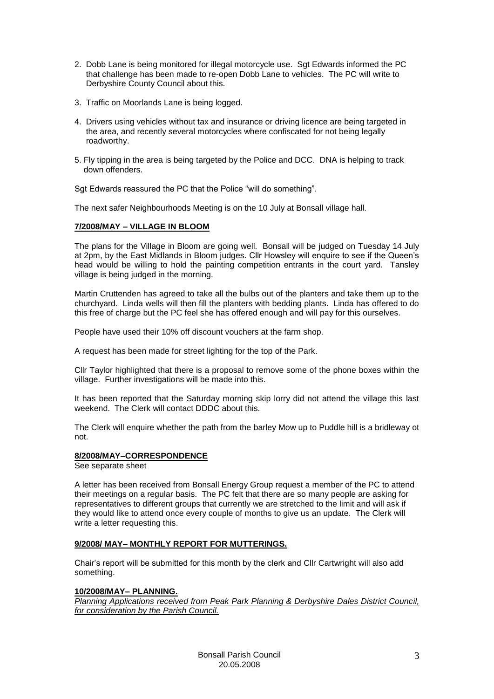- 2. Dobb Lane is being monitored for illegal motorcycle use. Sgt Edwards informed the PC that challenge has been made to re-open Dobb Lane to vehicles. The PC will write to Derbyshire County Council about this.
- 3. Traffic on Moorlands Lane is being logged.
- 4. Drivers using vehicles without tax and insurance or driving licence are being targeted in the area, and recently several motorcycles where confiscated for not being legally roadworthy.
- 5. Fly tipping in the area is being targeted by the Police and DCC. DNA is helping to track down offenders.

Sgt Edwards reassured the PC that the Police "will do something".

The next safer Neighbourhoods Meeting is on the 10 July at Bonsall village hall.

### **7/2008/MAY – VILLAGE IN BLOOM**

The plans for the Village in Bloom are going well. Bonsall will be judged on Tuesday 14 July at 2pm, by the East Midlands in Bloom judges. Cllr Howsley will enquire to see if the Queen's head would be willing to hold the painting competition entrants in the court yard. Tansley village is being judged in the morning.

Martin Cruttenden has agreed to take all the bulbs out of the planters and take them up to the churchyard. Linda wells will then fill the planters with bedding plants. Linda has offered to do this free of charge but the PC feel she has offered enough and will pay for this ourselves.

People have used their 10% off discount vouchers at the farm shop.

A request has been made for street lighting for the top of the Park.

Cllr Taylor highlighted that there is a proposal to remove some of the phone boxes within the village. Further investigations will be made into this.

It has been reported that the Saturday morning skip lorry did not attend the village this last weekend. The Clerk will contact DDDC about this.

The Clerk will enquire whether the path from the barley Mow up to Puddle hill is a bridleway ot not.

#### **8/2008/MAY–CORRESPONDENCE**

#### See separate sheet

A letter has been received from Bonsall Energy Group request a member of the PC to attend their meetings on a regular basis. The PC felt that there are so many people are asking for representatives to different groups that currently we are stretched to the limit and will ask if they would like to attend once every couple of months to give us an update. The Clerk will write a letter requesting this.

### **9/2008/ MAY– MONTHLY REPORT FOR MUTTERINGS.**

Chair's report will be submitted for this month by the clerk and Cllr Cartwright will also add something.

#### **10/2008/MAY– PLANNING.**

*Planning Applications received from Peak Park Planning & Derbyshire Dales District Council, for consideration by the Parish Council.*